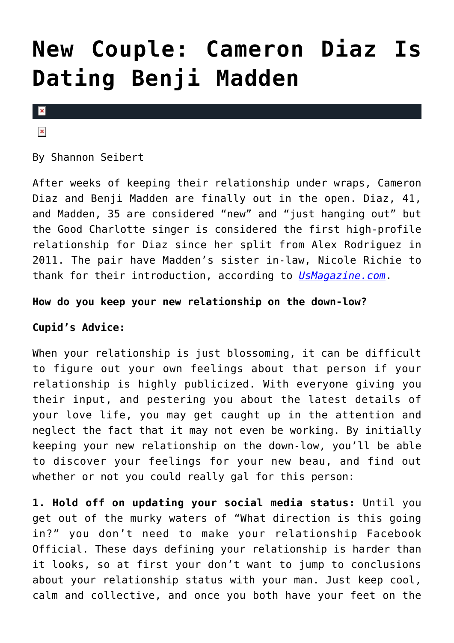# **[New Couple: Cameron Diaz Is](https://cupidspulse.com/75334/new-couple-cameron-diaz-is-dating-benji-madden/) [Dating Benji Madden](https://cupidspulse.com/75334/new-couple-cameron-diaz-is-dating-benji-madden/)**

#### $\mathbf x$

### $\pmb{\times}$

By Shannon Seibert

After weeks of keeping their relationship under wraps, Cameron Diaz and Benji Madden are finally out in the open. Diaz, 41, and Madden, 35 are considered "new" and "just hanging out" but the Good Charlotte singer is considered the first high-profile relationship for Diaz since her split from Alex Rodriguez in 2011. The pair have Madden's sister in-law, Nicole Richie to thank for their introduction, according to *[UsMagazine.com](http://www.usmagazine.com/celebrity-news/news/cameron-diaz-is-dating-benji-madden-2014185)*.

## **How do you keep your new relationship on the down-low?**

# **Cupid's Advice:**

When your relationship is just blossoming, it can be difficult to figure out your own feelings about that person if your relationship is highly publicized. With everyone giving you their input, and pestering you about the latest details of your love life, you may get caught up in the attention and neglect the fact that it may not even be working. By initially keeping your new relationship on the down-low, you'll be able to discover your feelings for your new beau, and find out whether or not you could really gal for this person:

**1. Hold off on updating your social media status:** Until you get out of the murky waters of "What direction is this going in?" you don't need to make your relationship Facebook Official. These days defining your relationship is harder than it looks, so at first your don't want to jump to conclusions about your relationship status with your man. Just keep cool, calm and collective, and once you both have your feet on the